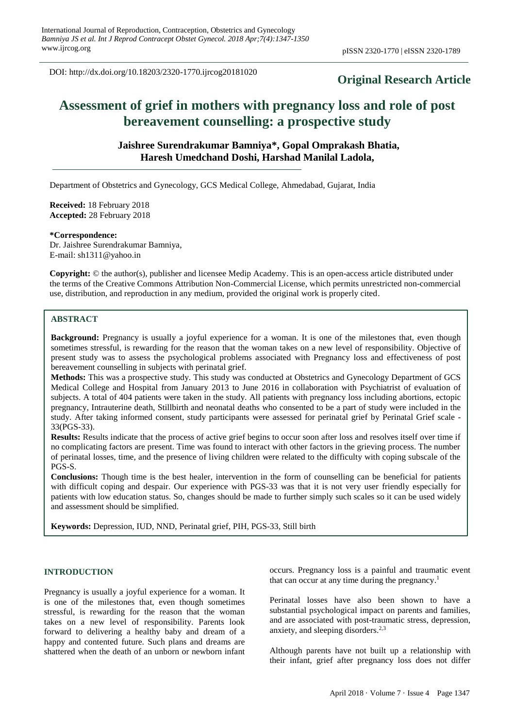DOI: http://dx.doi.org/10.18203/2320-1770.ijrcog20181020

# **Original Research Article**

# **Assessment of grief in mothers with pregnancy loss and role of post bereavement counselling: a prospective study**

# **Jaishree Surendrakumar Bamniya\*, Gopal Omprakash Bhatia, Haresh Umedchand Doshi, Harshad Manilal Ladola,**

Department of Obstetrics and Gynecology, GCS Medical College, Ahmedabad, Gujarat, India

**Received:** 18 February 2018 **Accepted:** 28 February 2018

#### **\*Correspondence:**

Dr. Jaishree Surendrakumar Bamniya, E-mail: sh1311@yahoo.in

**Copyright:** © the author(s), publisher and licensee Medip Academy. This is an open-access article distributed under the terms of the Creative Commons Attribution Non-Commercial License, which permits unrestricted non-commercial use, distribution, and reproduction in any medium, provided the original work is properly cited.

## **ABSTRACT**

**Background:** Pregnancy is usually a joyful experience for a woman. It is one of the milestones that, even though sometimes stressful, is rewarding for the reason that the woman takes on a new level of responsibility. Objective of present study was to assess the psychological problems associated with Pregnancy loss and effectiveness of post bereavement counselling in subjects with perinatal grief.

**Methods:** This was a prospective study. This study was conducted at Obstetrics and Gynecology Department of GCS Medical College and Hospital from January 2013 to June 2016 in collaboration with Psychiatrist of evaluation of subjects. A total of 404 patients were taken in the study. All patients with pregnancy loss including abortions, ectopic pregnancy, Intrauterine death, Stillbirth and neonatal deaths who consented to be a part of study were included in the study. After taking informed consent, study participants were assessed for perinatal grief by Perinatal Grief scale - 33(PGS-33).

**Results:** Results indicate that the process of active grief begins to occur soon after loss and resolves itself over time if no complicating factors are present. Time was found to interact with other factors in the grieving process. The number of perinatal losses, time, and the presence of living children were related to the difficulty with coping subscale of the PGS-S.

**Conclusions:** Though time is the best healer, intervention in the form of counselling can be beneficial for patients with difficult coping and despair. Our experience with PGS-33 was that it is not very user friendly especially for patients with low education status. So, changes should be made to further simply such scales so it can be used widely and assessment should be simplified.

**Keywords:** Depression, IUD, NND, Perinatal grief, PIH, PGS-33, Still birth

#### **INTRODUCTION**

Pregnancy is usually a joyful experience for a woman. It is one of the milestones that, even though sometimes stressful, is rewarding for the reason that the woman takes on a new level of responsibility. Parents look forward to delivering a healthy baby and dream of a happy and contented future. Such plans and dreams are shattered when the death of an unborn or newborn infant occurs. Pregnancy loss is a painful and traumatic event that can occur at any time during the pregnancy. 1

Perinatal losses have also been shown to have a substantial psychological impact on parents and families, and are associated with post-traumatic stress, depression, anxiety, and sleeping disorders. 2,3

Although parents have not built up a relationship with their infant, grief after pregnancy loss does not differ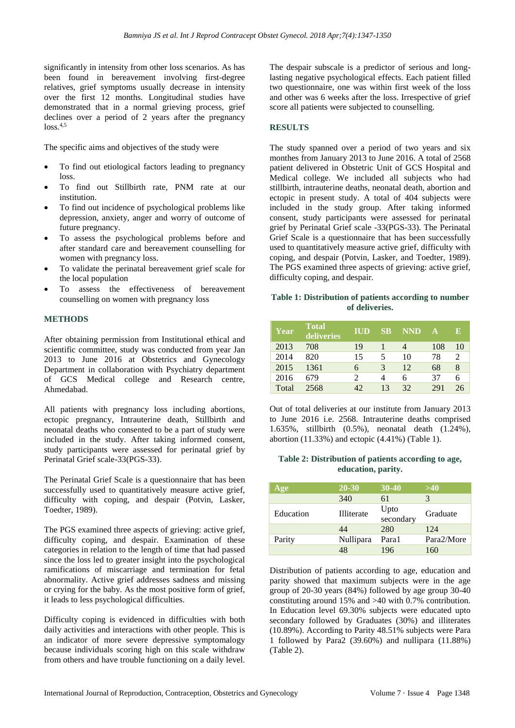significantly in intensity from other loss scenarios. As has been found in bereavement involving first-degree relatives, grief symptoms usually decrease in intensity over the first 12 months. Longitudinal studies have demonstrated that in a normal grieving process, grief declines over a period of 2 years after the pregnancy  $loss<sup>4,5</sup>$ 

The specific aims and objectives of the study were

- To find out etiological factors leading to pregnancy loss.
- To find out Stillbirth rate, PNM rate at our institution.
- To find out incidence of psychological problems like depression, anxiety, anger and worry of outcome of future pregnancy.
- To assess the psychological problems before and after standard care and bereavement counselling for women with pregnancy loss.
- To validate the perinatal bereavement grief scale for the local population
- To assess the effectiveness of bereavement counselling on women with pregnancy loss

#### **METHODS**

After obtaining permission from Institutional ethical and scientific committee, study was conducted from year Jan 2013 to June 2016 at Obstetrics and Gynecology Department in collaboration with Psychiatry department of GCS Medical college and Research centre, Ahmedabad.

All patients with pregnancy loss including abortions, ectopic pregnancy, Intrauterine death, Stillbirth and neonatal deaths who consented to be a part of study were included in the study. After taking informed consent, study participants were assessed for perinatal grief by Perinatal Grief scale-33(PGS-33).

The Perinatal Grief Scale is a questionnaire that has been successfully used to quantitatively measure active grief, difficulty with coping, and despair (Potvin, Lasker, Toedter, 1989).

The PGS examined three aspects of grieving: active grief, difficulty coping, and despair. Examination of these categories in relation to the length of time that had passed since the loss led to greater insight into the psychological ramifications of miscarriage and termination for fetal abnormality. Active grief addresses sadness and missing or crying for the baby. As the most positive form of grief, it leads to less psychological difficulties.

Difficulty coping is evidenced in difficulties with both daily activities and interactions with other people. This is an indicator of more severe depressive symptomalogy because individuals scoring high on this scale withdraw from others and have trouble functioning on a daily level. The despair subscale is a predictor of serious and longlasting negative psychological effects. Each patient filled two questionnaire, one was within first week of the loss and other was 6 weeks after the loss. Irrespective of grief score all patients were subjected to counselling.

## **RESULTS**

The study spanned over a period of two years and six monthes from January 2013 to June 2016. A total of 2568 patient delivered in Obstetric Unit of GCS Hospital and Medical college. We included all subjects who had stillbirth, intrauterine deaths, neonatal death, abortion and ectopic in present study. A total of 404 subjects were included in the study group. After taking informed consent, study participants were assessed for perinatal grief by Perinatal Grief scale -33(PGS-33). The Perinatal Grief Scale is a questionnaire that has been successfully used to quantitatively measure active grief, difficulty with coping, and despair (Potvin, Lasker, and Toedter, 1989). The PGS examined three aspects of grieving: active grief, difficulty coping, and despair.

#### **Table 1: Distribution of patients according to number of deliveries.**

| Year  | <b>Total</b><br>deliveries | <b>IUD</b> | <b>SB</b> | <b>NND</b> | $\mathbf{A}$ | E  |
|-------|----------------------------|------------|-----------|------------|--------------|----|
| 2013  | 708                        | 19         |           |            | 108          | 10 |
| 2014  | 820                        | 15         | 5         | 10         | 78           | 2  |
| 2015  | 1361                       | 6          | 3         | 12         | 68           | 8  |
| 2016  | 679                        | 2          |           | 6          | 37           | 6  |
| Total | 2568                       | 42         | 13        | 32         | 291          | 26 |

Out of total deliveries at our institute from January 2013 to June 2016 i.e. 2568. Intrauterine deaths comprised 1.635%, stillbirth (0.5%), neonatal death (1.24%), abortion (11.33%) and ectopic (4.41%) (Table 1).

## **Table 2: Distribution of patients according to age, education, parity.**

| Age       | 20-30      | $30-40$           | >40        |
|-----------|------------|-------------------|------------|
|           | 340        | 61                | 3          |
| Education | Illiterate | Upto<br>secondary | Graduate   |
|           | 44         | 280               | 124        |
| Parity    | Nullipara  | Para1             | Para2/More |
|           | 48         | 196               | 160        |

Distribution of patients according to age, education and parity showed that maximum subjects were in the age group of 20-30 years (84%) followed by age group 30-40 constituting around 15% and >40 with 0.7% contribution. In Education level 69.30% subjects were educated upto secondary followed by Graduates (30%) and illiterates (10.89%). According to Parity 48.51% subjects were Para 1 followed by Para2 (39.60%) and nullipara (11.88%) (Table 2).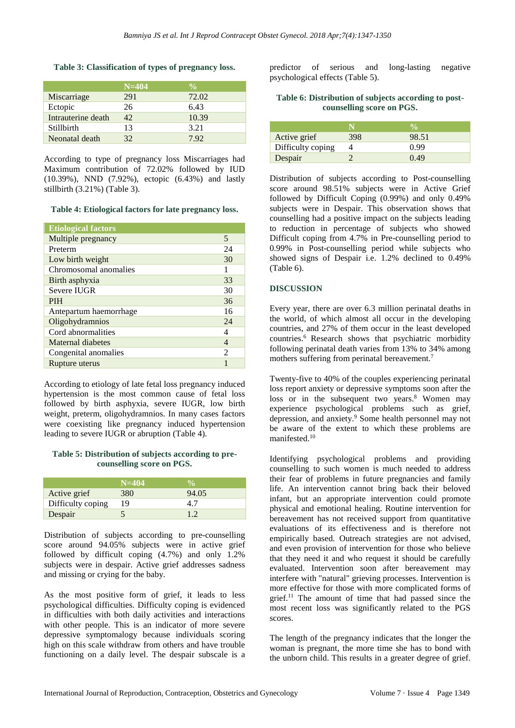#### **Table 3: Classification of types of pregnancy loss.**

|                    | $N=404$ | $\frac{0}{\alpha}$ |
|--------------------|---------|--------------------|
| Miscarriage        | 291     | 72.02              |
| Ectopic            | 26      | 6.43               |
| Intrauterine death | 42      | 10.39              |
| Stillbirth         | 13      | 3.21               |
| Neonatal death     | 32      | 7.92               |

According to type of pregnancy loss Miscarriages had Maximum contribution of 72.02% followed by IUD (10.39%), NND (7.92%), ectopic (6.43%) and lastly stillbirth (3.21%) (Table 3).

**Table 4: Etiological factors for late pregnancy loss.**

| <b>Etiological factors</b> |                |
|----------------------------|----------------|
| Multiple pregnancy         | 5              |
| Preterm                    | 24             |
| Low birth weight           | 30             |
| Chromosomal anomalies      |                |
| Birth asphyxia             | 33             |
| Severe IUGR                | 30             |
| <b>PIH</b>                 | 36             |
| Antepartum haemorrhage     | 16             |
| Oligohydramnios            | 24             |
| Cord abnormalities         | 4              |
| Maternal diabetes          | 4              |
| Congenital anomalies       | $\mathfrak{D}$ |
| Rupture uterus             |                |

According to etiology of late fetal loss pregnancy induced hypertension is the most common cause of fetal loss followed by birth asphyxia, severe IUGR, low birth weight, preterm, oligohydramnios. In many cases factors were coexisting like pregnancy induced hypertension leading to severe IUGR or abruption (Table 4).

#### **Table 5: Distribution of subjects according to precounselling score on PGS.**

|                   | $N=404$ |       |
|-------------------|---------|-------|
| Active grief      | 380     | 94.05 |
| Difficulty coping | 19      |       |
| Despair           |         |       |

Distribution of subjects according to pre-counselling score around 94.05% subjects were in active grief followed by difficult coping (4.7%) and only 1.2% subjects were in despair. Active grief addresses sadness and missing or crying for the baby.

As the most positive form of grief, it leads to less psychological difficulties. Difficulty coping is evidenced in difficulties with both daily activities and interactions with other people. This is an indicator of more severe depressive symptomalogy because individuals scoring high on this scale withdraw from others and have trouble functioning on a daily level. The despair subscale is a predictor of serious and long-lasting negative psychological effects (Table 5).

#### **Table 6: Distribution of subjects according to postcounselling score on PGS.**

| Active grief      | 398 | 98.51 |
|-------------------|-----|-------|
| Difficulty coping |     | 0.99  |
| Despair           |     | 0.49  |

Distribution of subjects according to Post-counselling score around 98.51% subjects were in Active Grief followed by Difficult Coping (0.99%) and only 0.49% subjects were in Despair. This observation shows that counselling had a positive impact on the subjects leading to reduction in percentage of subjects who showed Difficult coping from 4.7% in Pre-counselling period to 0.99% in Post-counselling period while subjects who showed signs of Despair i.e. 1.2% declined to 0.49% (Table 6).

## **DISCUSSION**

Every year, there are over 6.3 million perinatal deaths in the world, of which almost all occur in the developing countries, and 27% of them occur in the least developed countries.<sup>6</sup> Research shows that psychiatric morbidity following perinatal death varies from 13% to 34% among mothers suffering from perinatal bereavement.<sup>7</sup>

Twenty-five to 40% of the couples experiencing perinatal loss report anxiety or depressive symptoms soon after the loss or in the subsequent two years.<sup>8</sup> Women may experience psychological problems such as grief, depression, and anxiety.<sup>9</sup> Some health personnel may not be aware of the extent to which these problems are manifested.<sup>10</sup>

Identifying psychological problems and providing counselling to such women is much needed to address their fear of problems in future pregnancies and family life. An intervention cannot bring back their beloved infant, but an appropriate intervention could promote physical and emotional healing. Routine intervention for bereavement has not received support from quantitative evaluations of its effectiveness and is therefore not empirically based. Outreach strategies are not advised, and even provision of intervention for those who believe that they need it and who request it should be carefully evaluated. Intervention soon after bereavement may interfere with "natural" grieving processes. Intervention is more effective for those with more complicated forms of grief. <sup>11</sup> The amount of time that had passed since the most recent loss was significantly related to the PGS scores.

The length of the pregnancy indicates that the longer the woman is pregnant, the more time she has to bond with the unborn child. This results in a greater degree of grief.